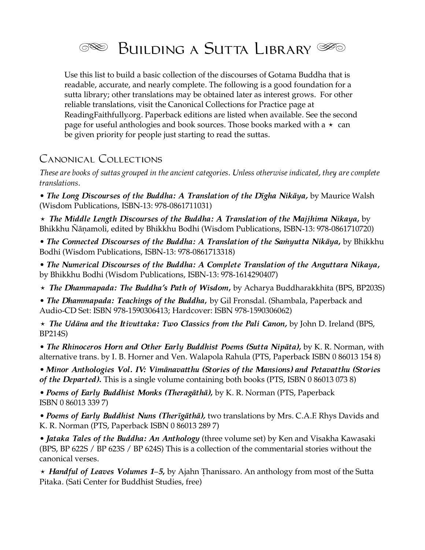

Use this list to build a basic collection of the discourses of Gotama Buddha that is readable, accurate, and nearly complete. The following is a good foundation for a sutta library; other translations may be obtained later as interest grows. For other reliable translations, visit the Canonical Collections for Practice page at ReadingFaithfully.org. Paperback editions are listed when available. See the second page for useful anthologies and book sources. Those books marked with a  $\star$  can be given priority for people just starting to read the suttas.

# Canonical Collections

*These are books of suttas grouped in the ancient categories. Unless otherwise indicated, they are complete translations.* 

*• The Long Discourses of the Buddha: A Translation of the Dīgha Nikāya,* by Maurice Walsh (Wisdom Publications, ISBN-13: 978-0861711031)

⋆ *The Middle Length Discourses of the Buddha: A Translation of the Majjhima Nikaya***,** by Bhikkhu Ñāṇamoli, edited by Bhikkhu Bodhi (Wisdom Publications, ISBN-13: 978-0861710720)

*• The Connected Discourses of the Buddha: A Translation of the Saṁyutta Nikāya***,** by Bhikkhu Bodhi (Wisdom Publications, ISBN-13: 978-0861713318)

*• The Numerical Discourses of the Buddha: A Complete Translation of the Anguttara Nikaya***,** by Bhikkhu Bodhi (Wisdom Publications, ISBN-13: 978-1614290407)

⋆ *The Dhammapada: The Buddha's Path of Wisdom***,** by Acharya Buddharakkhita (BPS, BP203S)

*• The Dhammapada: Teachings of the Buddha***,** by Gil Fronsdal. (Shambala, Paperback and Audio-CD Set: ISBN 978-1590306413; Hardcover: ISBN 978-1590306062)

⋆ *The Udāna and the Itivuttaka: Two Classics from the Pali Canon,* by John D. Ireland (BPS, BP214S)

*• The Rhinoceros Horn and Other Early Buddhist Poems (Sutta Nipāta)***,** by K. R. Norman, with alternative trans. by I. B. Horner and Ven. Walapola Rahula (PTS, Paperback ISBN 0 86013 154 8)

*• Minor Anthologies Vol. IV: Vimanavatthu (Stories of the Mansions) and Petavatthu (Stories of the Departed)***.** This is a single volume containing both books (PTS, ISBN 0 86013 073 8)

*• Poems of Early Buddhist Monks (Theragāthā)***,** by K. R. Norman (PTS, Paperback ISBN 0 86013 339 7)

*• Poems of Early Buddhist Nuns (Therīgāthā),* two translations by Mrs. C.A.F. Rhys Davids and K. R. Norman (PTS, Paperback ISBN 0 86013 289 7)

*• Jataka Tales of the Buddha: An Anthology* (three volume set) by Ken and Visakha Kawasaki (BPS, BP 622S / BP 623S / BP 624S) This is a collection of the commentarial stories without the canonical verses.

⋆ *Handful of Leaves Volumes 1–5***,** by Ajahn Ṭhanissaro. An anthology from most of the Sutta Pitaka. (Sati Center for Buddhist Studies, free)